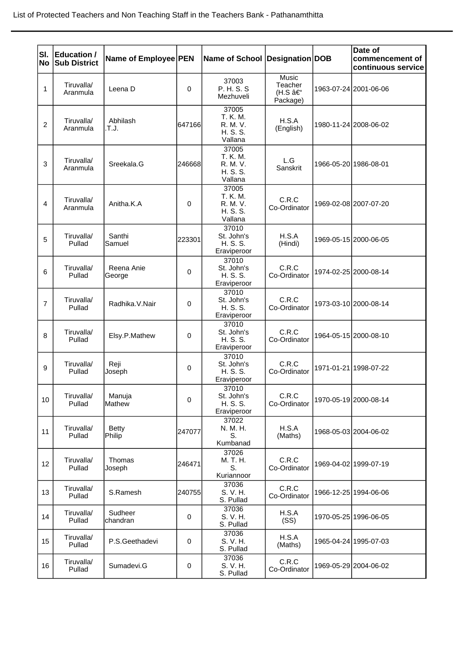| SI.<br><b>No</b> | <b>Education /</b><br><b>Sub District</b> | Name of Employee PEN   |             | Name of School Designation DOB                       |                                        |                       | Date of<br>commencement of<br>continuous service |
|------------------|-------------------------------------------|------------------------|-------------|------------------------------------------------------|----------------------------------------|-----------------------|--------------------------------------------------|
| 1                | Tiruvalla/<br>Aranmula                    | Leena D                | $\mathbf 0$ | 37003<br>P. H. S. S<br>Mezhuveli                     | Music<br>Teacher<br>(H.S –<br>Package) |                       | 1963-07-24 2001-06-06                            |
| $\overline{c}$   | Tiruvalla/<br>Aranmula                    | Abhilash<br>.T.J.      | 647166      | 37005<br>T. K. M.<br>R. M. V.<br>H. S. S.<br>Vallana | H.S.A<br>(English)                     |                       | 1980-11-24 2008-06-02                            |
| 3                | Tiruvalla/<br>Aranmula                    | Sreekala.G             | 246668      | 37005<br>T. K. M.<br>R. M. V.<br>H. S. S.<br>Vallana | L.G<br>Sanskrit                        | 1966-05-20 1986-08-01 |                                                  |
| 4                | Tiruvalla/<br>Aranmula                    | Anitha.K.A             | 0           | 37005<br>T. K. M.<br>R. M. V.<br>H. S. S.<br>Vallana | C.R.C<br>Co-Ordinator                  |                       | 1969-02-08 2007-07-20                            |
| 5                | Tiruvalla/<br>Pullad                      | Santhi<br>Samuel       | 223301      | 37010<br>St. John's<br>H. S. S.<br>Eraviperoor       | H.S.A<br>(Hindi)                       |                       | 1969-05-15 2000-06-05                            |
| 6                | Tiruvalla/<br>Pullad                      | Reena Anie<br>George   | $\mathbf 0$ | 37010<br>St. John's<br>H. S. S.<br>Eraviperoor       | C.R.C<br>Co-Ordinator                  |                       | 1974-02-25 2000-08-14                            |
| $\overline{7}$   | Tiruvalla/<br>Pullad                      | Radhika.V.Nair         | $\mathbf 0$ | 37010<br>St. John's<br>H. S. S.<br>Eraviperoor       | C.R.C<br>Co-Ordinator                  |                       | 1973-03-10 2000-08-14                            |
| 8                | Tiruvalla/<br>Pullad                      | Elsy.P.Mathew          | $\mathbf 0$ | 37010<br>St. John's<br>H. S. S.<br>Eraviperoor       | C.R.C<br>Co-Ordinator                  |                       | 1964-05-15 2000-08-10                            |
| 9                | Tiruvalla/<br>Pullad                      | Reji<br>Joseph         | 0           | 37010<br>St. John's<br>H. S. S.<br>Eraviperoor       | C.R.C<br>Co-Ordinator                  |                       | 1971-01-21 1998-07-22                            |
| 10               | Tiruvalla/<br>Pullad                      | Manuja<br>Mathew       | $\mathbf 0$ | 37010<br>St. John's<br>H. S. S.<br>Eraviperoor       | C.R.C<br>Co-Ordinator                  |                       | 1970-05-19 2000-08-14                            |
| 11               | Tiruvalla/<br>Pullad                      | <b>Betty</b><br>Philip | 247077      | 37022<br>N. M. H.<br>S.<br>Kumbanad                  | H.S.A<br>(Maths)                       |                       | 1968-05-03 2004-06-02                            |
| 12               | Tiruvalla/<br>Pullad                      | Thomas<br>Joseph       | 246471      | 37026<br>M. T. H.<br>S.<br>Kuriannoor                | C.R.C<br>Co-Ordinator                  |                       | 1969-04-02 1999-07-19                            |
| 13               | Tiruvalla/<br>Pullad                      | S.Ramesh               | 240755      | 37036<br>S. V. H.<br>S. Pullad                       | C.R.C<br>Co-Ordinator                  |                       | 1966-12-25 1994-06-06                            |
| 14               | Tiruvalla/<br>Pullad                      | Sudheer<br>chandran    | 0           | 37036<br>S. V. H.<br>S. Pullad                       | H.S.A<br>(SS)                          |                       | 1970-05-25 1996-06-05                            |
| 15               | Tiruvalla/<br>Pullad                      | P.S.Geethadevi         | 0           | 37036<br>S. V. H.<br>S. Pullad                       | H.S.A<br>(Maths)                       |                       | 1965-04-24 1995-07-03                            |
| 16               | Tiruvalla/<br>Pullad                      | Sumadevi.G             | 0           | 37036<br>S. V. H.<br>S. Pullad                       | C.R.C<br>Co-Ordinator                  |                       | 1969-05-29 2004-06-02                            |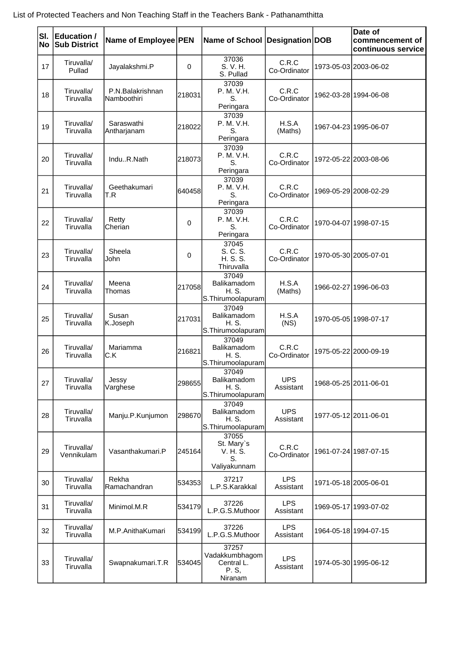| SI.<br>No | Education /<br><b>Sub District</b> | Name of Employee PEN             |        | Name of School Designation DOB                            |                         | Date of<br>commencement of<br>continuous service |
|-----------|------------------------------------|----------------------------------|--------|-----------------------------------------------------------|-------------------------|--------------------------------------------------|
| 17        | Tiruvalla/<br>Pullad               | Jayalakshmi.P                    | 0      | 37036<br>S. V. H.<br>S. Pullad                            | C.R.C<br>Co-Ordinator   | 1973-05-03 2003-06-02                            |
| 18        | Tiruvalla/<br>Tiruvalla            | P.N.Balakrishnan<br>lNamboothiri | 218031 | 37039<br>P. M. V.H.<br>S.<br>Peringara                    | C.R.C<br>Co-Ordinator   | 1962-03-28 1994-06-08                            |
| 19        | Tiruvalla/<br>Tiruvalla            | Saraswathi<br>Antharjanam        | 218022 | 37039<br>P. M. V.H.<br>S.<br>Peringara                    | H.S.A<br>(Maths)        | 1967-04-23 1995-06-07                            |
| 20        | Tiruvalla/<br>Tiruvalla            | InduR.Nath                       | 218073 | 37039<br>P. M. V.H.<br>S.<br>Peringara                    | C.R.C<br>Co-Ordinator   | 1972-05-22 2003-08-06                            |
| 21        | Tiruvalla/<br>Tiruvalla            | Geethakumari<br>T.R              | 640458 | 37039<br>P. M. V.H.<br>S.<br>Peringara                    | C.R.C<br>Co-Ordinator   | 1969-05-29 2008-02-29                            |
| 22        | Tiruvalla/<br>Tiruvalla            | Retty<br>Cherian                 | 0      | 37039<br>P. M. V.H.<br>S.<br>Peringara                    | C.R.C<br>Co-Ordinator   | 1970-04-07 1998-07-15                            |
| 23        | Tiruvalla/<br>Tiruvalla            | Sheela<br>John                   | 0      | 37045<br>S. C. S.<br>H. S. S.<br>Thiruvalla               | C.R.C<br>Co-Ordinator   | 1970-05-30 2005-07-01                            |
| 24        | Tiruvalla/<br>Tiruvalla            | Meena<br>Thomas                  | 217058 | 37049<br>Balikamadom<br>H. S.<br>S. Thirumoolapuram       | H.S.A<br>(Maths)        | 1966-02-27 1996-06-03                            |
| 25        | Tiruvalla/<br>Tiruvalla            | Susan<br>K.Joseph                | 217031 | 37049<br>Balikamadom<br>H. S.<br>S. Thirumoolapuram       | H.S.A<br>(NS)           | 1970-05-05 1998-07-17                            |
| 26        | Tiruvalla/<br>Tiruvalla            | Mariamma<br>C.K                  | 216821 | 37049<br>Balikamadom<br>H. S.<br>S. Thirumoolapuram       | C.R.C<br>Co-Ordinator   | 1975-05-22 2000-09-19                            |
| 27        | Tiruvalla/<br>Tiruvalla            | Jessy<br>Varghese                | 298655 | 37049<br>Balikamadom<br>H. S.<br>S.Thirumoolapuram        | <b>UPS</b><br>Assistant | 1968-05-25 2011-06-01                            |
| 28        | Tiruvalla/<br>Tiruvalla            | Manju.P.Kunjumon                 | 298670 | 37049<br>Balikamadom<br>H. S.<br>S.Thirumoolapuram        | <b>UPS</b><br>Assistant | 1977-05-12 2011-06-01                            |
| 29        | Tiruvalla/<br>Vennikulam           | Vasanthakumari.P                 | 245164 | 37055<br>St. Mary`s<br>V. H. S.<br>S.<br>Valiyakunnam     | C.R.C<br>Co-Ordinator   | 1961-07-24 1987-07-15                            |
| 30        | Tiruvalla/<br>Tiruvalla            | Rekha<br>Ramachandran            | 534353 | 37217<br>L.P.S.Karakkal                                   | <b>LPS</b><br>Assistant | 1971-05-18 2005-06-01                            |
| 31        | Tiruvalla/<br>Tiruvalla            | Minimol.M.R                      | 534179 | 37226<br>L.P.G.S.Muthoor                                  | LPS<br>Assistant        | 1969-05-17 1993-07-02                            |
| 32        | Tiruvalla/<br>Tiruvalla            | M.P.AnithaKumari                 | 534199 | 37226<br>L.P.G.S.Muthoor                                  | <b>LPS</b><br>Assistant | 1964-05-18 1994-07-15                            |
| 33        | Tiruvalla/<br>Tiruvalla            | Swapnakumari.T.R                 | 534045 | 37257<br>Vadakkumbhagom<br>Central L.<br>P. S,<br>Niranam | <b>LPS</b><br>Assistant | 1974-05-30 1995-06-12                            |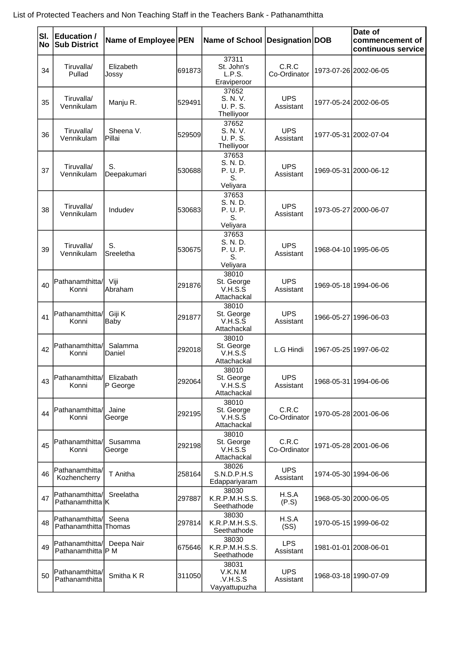| SI.<br><b>No</b> | <b>Education /</b><br><b>Sub District</b> | Name of Employee PEN  |        | Name of School Designation DOB                     |                         | Date of<br>commencement of<br>continuous service |
|------------------|-------------------------------------------|-----------------------|--------|----------------------------------------------------|-------------------------|--------------------------------------------------|
| 34               | Tiruvalla/<br>Pullad                      | Elizabeth<br>Jossy    | 691873 | 37311<br>St. John's<br>L.P.S.<br>Eraviperoor       | C.R.C<br>Co-Ordinator   | 1973-07-26 2002-06-05                            |
| 35               | Tiruvalla/<br>Vennikulam                  | Manju R.              | 529491 | 37652<br>S. N. V.<br>U. P. S.<br>Thelliyoor        | <b>UPS</b><br>Assistant | 1977-05-24 2002-06-05                            |
| 36               | Tiruvalla/<br>Vennikulam                  | Sheena V.<br>Pillai   | 529509 | 37652<br>S. N. V.<br><b>U. P. S.</b><br>Thelliyoor | <b>UPS</b><br>Assistant | 1977-05-31 2002-07-04                            |
| 37               | Tiruvalla/<br>Vennikulam                  | S.<br>Deepakumari     | 530688 | 37653<br>S. N. D.<br>P. U. P.<br>S.<br>Veliyara    | <b>UPS</b><br>Assistant | 1969-05-31 2000-06-12                            |
| 38               | Tiruvalla/<br>Vennikulam                  | Indudev               | 530683 | 37653<br>S. N. D.<br>P. U. P.<br>S.<br>Veliyara    | <b>UPS</b><br>Assistant | 1973-05-27 2000-06-07                            |
| 39               | Tiruvalla/<br>Vennikulam                  | S.<br>Sreeletha       | 530675 | 37653<br>S. N. D.<br>P. U. P.<br>S.<br>Veliyara    | <b>UPS</b><br>Assistant | 1968-04-10 1995-06-05                            |
| 40               | Pathanamthitta/<br>Konni                  | Viji<br>Abraham       | 291876 | 38010<br>St. George<br>V.H.S.S<br>Attachackal      | <b>UPS</b><br>Assistant | 1969-05-18 1994-06-06                            |
| 41               | Pathanamthitta/<br>Konni                  | Giji K<br>Baby        | 291877 | 38010<br>St. George<br>V.H.S.S<br>Attachackal      | <b>UPS</b><br>Assistant | 1966-05-27 1996-06-03                            |
| 42               | Pathanamthitta/<br>Konni                  | Salamma<br>Daniel     | 292018 | 38010<br>St. George<br>V.H.S.S<br>Attachackal      | L.G Hindi               | 1967-05-25 1997-06-02                            |
| 43               | Pathanamthitta/<br>Konni                  | Elizabath<br>P George | 292064 | 38010<br>St. George<br>V.H.S.S<br>Attachackal      | <b>UPS</b><br>Assistant | 1968-05-31 1994-06-06                            |
| 44               | Pathanamthitta/<br>Konni                  | Jaine<br>George       | 292195 | 38010<br>St. George<br>V.H.S.S<br>Attachackal      | C.R.C<br>Co-Ordinator   | 1970-05-28 2001-06-06                            |
| 45               | Pathanamthitta/<br>Konni                  | Susamma<br>George     | 292198 | 38010<br>St. George<br>V.H.S.S<br>Attachackal      | C.R.C<br>Co-Ordinator   | 1971-05-28 2001-06-06                            |
| 46               | Pathanamthitta/<br>Kozhencherry           | T Anitha              | 258164 | 38026<br>S.N.D.P.H.S<br>Edappariyaram              | <b>UPS</b><br>Assistant | 1974-05-30 1994-06-06                            |
| 47               | Pathanamthitta/<br>Pathanamthitta K       | Sreelatha             | 297887 | 38030<br>K.R.P.M.H.S.S.<br>Seethathode             | H.S.A<br>(P.S)          | 1968-05-30 2000-06-05                            |
| 48               | Pathanamthitta/<br>Pathanamthitta Thomas  | Seena                 | 297814 | 38030<br>K.R.P.M.H.S.S.<br>Seethathode             | H.S.A<br>(SS)           | 1970-05-15 1999-06-02                            |
| 49               | Pathanamthitta/<br>Pathanamthitta   PM    | Deepa Nair            | 675646 | 38030<br>K.R.P.M.H.S.S.<br>Seethathode             | <b>LPS</b><br>Assistant | 1981-01-01 2008-06-01                            |
| 50               | Pathanamthitta/<br>Pathanamthitta         | Smitha K R            | 311050 | 38031<br>V.K.N.M<br>.V.H.S.S<br>Vayyattupuzha      | <b>UPS</b><br>Assistant | 1968-03-18 1990-07-09                            |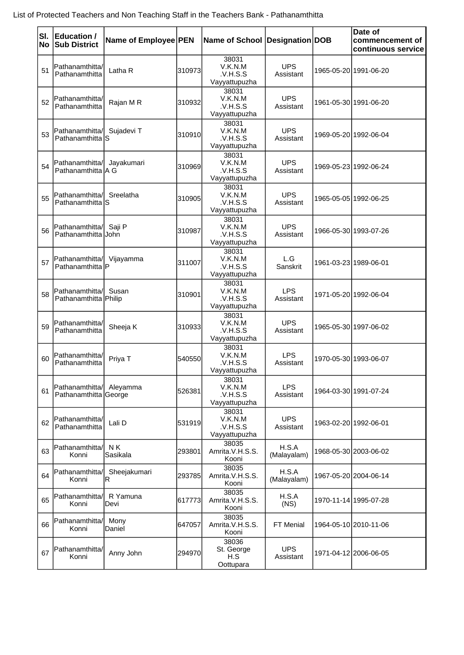List of Protected Teachers and Non Teaching Staff in the Teachers Bank - Pathanamthitta

| SI. | Education /<br>No Sub District           | Name of Employee PEN |        | Name of School Designation DOB                |                         | Date of<br>commencement of<br>continuous service |
|-----|------------------------------------------|----------------------|--------|-----------------------------------------------|-------------------------|--------------------------------------------------|
| 51  | Pathanamthitta/<br>Pathanamthitta        | Latha R              | 310973 | 38031<br>V.K.N.M<br>.V.H.S.S<br>Vayyattupuzha | <b>UPS</b><br>Assistant | 1965-05-20 1991-06-20                            |
| 52  | Pathanamthitta/<br>Pathanamthitta        | Rajan M R            | 310932 | 38031<br>V.K.N.M<br>.V.H.S.S<br>Vayyattupuzha | <b>UPS</b><br>Assistant | 1961-05-30 1991-06-20                            |
| 53  | Pathanamthitta/<br>Pathanamthitta S      | Sujadevi T           | 310910 | 38031<br>V.K.N.M<br>.V.H.S.S<br>Vayyattupuzha | <b>UPS</b><br>Assistant | 1969-05-2011992-06-04                            |
| 54  | Pathanamthitta/<br>Pathanamthitta A G    | Jayakumari           | 310969 | 38031<br>V.K.N.M<br>.V.H.S.S<br>Vayyattupuzha | <b>UPS</b><br>Assistant | 1969-05-23 1992-06-24                            |
| 55  | Pathanamthitta/<br>Pathanamthitta S      | Sreelatha            | 310905 | 38031<br>V.K.N.M<br>.V.H.S.S<br>Vayyattupuzha | <b>UPS</b><br>Assistant | 1965-05-05 1992-06-25                            |
| 56  | Pathanamthitta/<br>Pathanamthitta John   | Saji P               | 310987 | 38031<br>V.K.N.M<br>.V.H.S.S<br>Vayyattupuzha | <b>UPS</b><br>Assistant | 1966-05-30 1993-07-26                            |
| 57  | Pathanamthitta/<br>Pathanamthitta P      | Vijayamma            | 311007 | 38031<br>V.K.N.M<br>.V.H.S.S<br>Vayyattupuzha | L.G<br>Sanskrit         | 1961-03-23 1989-06-01                            |
| 58  | Pathanamthitta/<br>Pathanamthitta Philip | Susan                | 310901 | 38031<br>V.K.N.M<br>.V.H.S.S<br>Vayyattupuzha | LPS<br>Assistant        | 1971-05-20 1992-06-04                            |
| 59  | Pathanamthitta/<br>Pathanamthitta        | Sheeja K             | 310933 | 38031<br>V.K.N.M<br>.V.H.S.S<br>Vayyattupuzha | <b>UPS</b><br>Assistant | 1965-05-30 1997-06-02                            |
| 60  | Pathanamthitta/<br>Pathanamthitta        | Priya T              | 540550 | 38031<br>V.K.N.M<br>.V.H.S.S<br>Vayyattupuzha | <b>LPS</b><br>Assistant | 1970-05-30 1993-06-07                            |
| 61  | Pathanamthitta/<br>Pathanamthitta George | Aleyamma             | 526381 | 38031<br>V.K.N.M<br>.V.H.S.S<br>Vayyattupuzha | LPS<br>Assistant        | 1964-03-30 1991-07-24                            |
| 62  | Pathanamthitta/<br>Pathanamthitta        | Lali D               | 531919 | 38031<br>V.K.N.M<br>.V.H.S.S<br>Vayyattupuzha | <b>UPS</b><br>Assistant | 1963-02-20 1992-06-01                            |
| 63  | Pathanamthitta/<br>Konni                 | N K<br>Sasikala      | 293801 | 38035<br>Amrita.V.H.S.S.<br>Kooni             | H.S.A<br>(Malayalam)    | 1968-05-30 2003-06-02                            |
| 64  | Pathanamthitta/<br>Konni                 | Sheejakumari<br>R    | 293785 | 38035<br>Amrita.V.H.S.S.<br>Kooni             | H.S.A<br>(Malayalam)    | 1967-05-20 2004-06-14                            |
| 65  | Pathanamthitta/<br>Konni                 | R Yamuna<br>Devi     | 617773 | 38035<br>Amrita.V.H.S.S.<br>Kooni             | H.S.A<br>(NS)           | 1970-11-14 1995-07-28                            |
| 66  | Pathanamthitta/<br>Konni                 | Mony<br>Daniel       | 647057 | 38035<br>Amrita.V.H.S.S.<br>Kooni             | FT Menial               | 1964-05-10 2010-11-06                            |
| 67  | Pathanamthitta/<br>Konni                 | Anny John            | 294970 | 38036<br>St. George<br>H.S<br>Oottupara       | <b>UPS</b><br>Assistant | 1971-04-12 2006-06-05                            |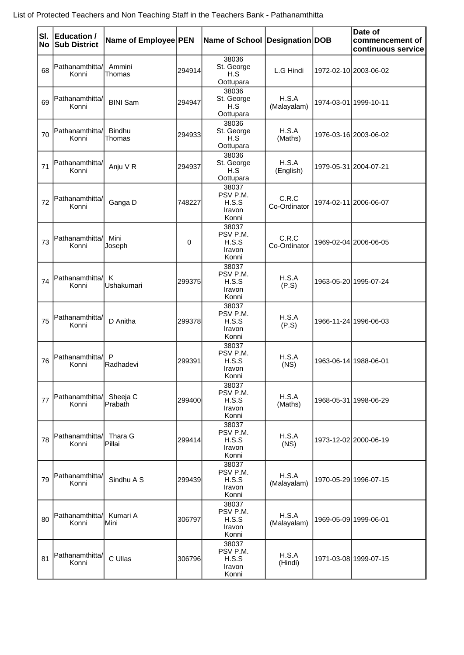| SI.<br><b>No</b> | Education /<br><b>Sub District</b> | Name of Employee PEN      |        | Name of School Designation DOB                |                       |                       | Date of<br>commencement of<br>continuous service |
|------------------|------------------------------------|---------------------------|--------|-----------------------------------------------|-----------------------|-----------------------|--------------------------------------------------|
| 68               | Pathanamthitta/<br>Konni           | Ammini<br>Thomas          | 294914 | 38036<br>St. George<br>H.S<br>Oottupara       | L.G Hindi             |                       | 1972-02-10 2003-06-02                            |
| 69               | Pathanamthitta/<br>Konni           | <b>BINI Sam</b>           | 294947 | 38036<br>St. George<br>H.S<br>Oottupara       | H.S.A<br>(Malayalam)  |                       | 1974-03-01 1999-10-11                            |
| 70               | Pathanamthitta/<br>Konni           | <b>Bindhu</b><br>Thomas   | 294933 | 38036<br>St. George<br>H.S<br>Oottupara       | H.S.A<br>(Maths)      |                       | 1976-03-16 2003-06-02                            |
| 71               | Pathanamthitta/<br>Konni           | Anju V R                  | 294937 | 38036<br>St. George<br>H.S<br>Oottupara       | H.S.A<br>(English)    | 1979-05-31 2004-07-21 |                                                  |
| 72               | Pathanamthitta/<br>Konni           | Ganga D                   | 748227 | 38037<br>PSV P.M.<br>H.S.S<br>Iravon<br>Konni | C.R.C<br>Co-Ordinator |                       | 1974-02-11 2006-06-07                            |
| 73               | Pathanamthitta/<br>Konni           | Mini<br>Joseph            | 0      | 38037<br>PSV P.M.<br>H.S.S<br>Iravon<br>Konni | C.R.C<br>Co-Ordinator |                       | 1969-02-04 2006-06-05                            |
| 74               | Pathanamthitta/<br>Konni           | K<br>Ushakumari           | 299375 | 38037<br>PSV P.M.<br>H.S.S<br>Iravon<br>Konni | H.S.A<br>(P.S)        |                       | 1963-05-20 1995-07-24                            |
| 75               | Pathanamthitta/<br>Konni           | D Anitha                  | 299378 | 38037<br>PSV P.M.<br>H.S.S<br>Iravon<br>Konni | H.S.A<br>(P.S)        |                       | 1966-11-24 1996-06-03                            |
| 76               | Pathanamthitta/<br>Konni           | $\mathsf{P}$<br>Radhadevi | 299391 | 38037<br>PSV P.M.<br>H.S.S<br>Iravon<br>Konni | H.S.A<br>(NS)         | 1963-06-14 1988-06-01 |                                                  |
| 77               | Pathanamthitta/<br>Konni           | Sheeja C<br>Prabath       | 299400 | 38037<br>PSV P.M.<br>H.S.S<br>Iravon<br>Konni | H.S.A<br>(Maths)      |                       | 1968-05-31 1998-06-29                            |
| 78               | Pathanamthitta/<br>Konni           | Thara G<br>Pillai         | 299414 | 38037<br>PSV P.M.<br>H.S.S<br>Iravon<br>Konni | H.S.A<br>(NS)         |                       | 1973-12-02 2000-06-19                            |
| 79               | Pathanamthitta/<br>Konni           | Sindhu A S                | 299439 | 38037<br>PSV P.M.<br>H.S.S<br>Iravon<br>Konni | H.S.A<br>(Malayalam)  |                       | 1970-05-29 1996-07-15                            |
| 80               | Pathanamthitta/<br>Konni           | Kumari A<br>Mini          | 306797 | 38037<br>PSV P.M.<br>H.S.S<br>Iravon<br>Konni | H.S.A<br>(Malayalam)  | 1969-05-09 1999-06-01 |                                                  |
| 81               | Pathanamthitta/<br>Konni           | C Ullas                   | 306796 | 38037<br>PSV P.M.<br>H.S.S<br>Iravon<br>Konni | H.S.A<br>(Hindi)      |                       | 1971-03-08 1999-07-15                            |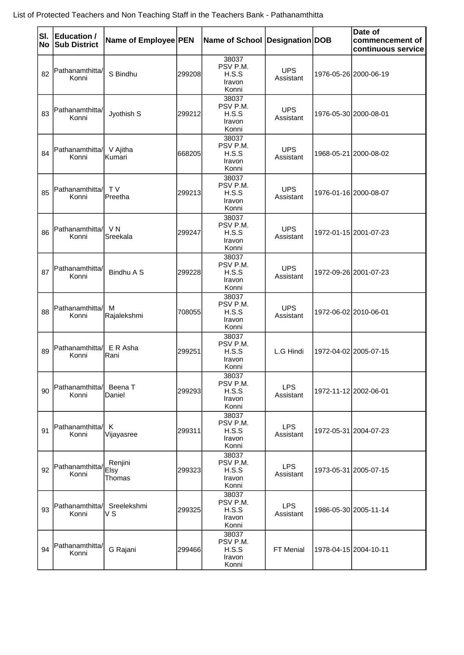| SI.<br><b>No</b> | Education /<br><b>Sub District</b> | Name of Employee PEN       |        | Name of School Designation DOB                |                         | Date of<br>commencement of<br>continuous service |
|------------------|------------------------------------|----------------------------|--------|-----------------------------------------------|-------------------------|--------------------------------------------------|
| 82               | Pathanamthitta/<br>Konni           | S Bindhu                   | 299208 | 38037<br>PSV P.M.<br>H.S.S<br>Iravon<br>Konni | <b>UPS</b><br>Assistant | 1976-05-26 2000-06-19                            |
| 83               | Pathanamthitta/<br>Konni           | Jyothish S                 | 299212 | 38037<br>PSV P.M.<br>H.S.S<br>Iravon<br>Konni | <b>UPS</b><br>Assistant | 1976-05-30 2000-08-01                            |
| 84               | Pathanamthitta/<br>Konni           | V Ajitha<br>Kumari         | 668205 | 38037<br>PSV P.M.<br>H.S.S<br>Iravon<br>Konni | <b>UPS</b><br>Assistant | 1968-05-21 2000-08-02                            |
| 85               | Pathanamthitta/<br>Konni           | T V<br>Preetha             | 299213 | 38037<br>PSV P.M.<br>H.S.S<br>Iravon<br>Konni | <b>UPS</b><br>Assistant | 1976-01-16 2000-08-07                            |
| 86               | Pathanamthitta/<br>Konni           | V <sub>N</sub><br>Sreekala | 299247 | 38037<br>PSV P.M.<br>H.S.S<br>Iravon<br>Konni | <b>UPS</b><br>Assistant | 1972-01-15 2001-07-23                            |
| 87               | Pathanamthitta/<br>Konni           | Bindhu A S                 | 299228 | 38037<br>PSV P.M.<br>H.S.S<br>Iravon<br>Konni | <b>UPS</b><br>Assistant | 1972-09-26 2001-07-23                            |
| 88               | Pathanamthitta/<br>Konni           | М<br>Rajalekshmi           | 708055 | 38037<br>PSV P.M.<br>H.S.S<br>Iravon<br>Konni | <b>UPS</b><br>Assistant | 1972-06-02 2010-06-01                            |
| 89               | Pathanamthitta/<br>Konni           | E R Asha<br>lRani          | 299251 | 38037<br>PSV P.M.<br>H.S.S<br>Iravon<br>Konni | L.G Hindi               | 1972-04-02 2005-07-15                            |
| 90               | Pathanamthitta/<br>Konni           | Beena T<br>Daniel          | 299293 | 38037<br>PSV P.M.<br>H.S.S<br>Iravon<br>Konni | <b>LPS</b><br>Assistant | 1972-11-12 2002-06-01                            |
| 91               | Pathanamthitta/<br>Konni           | K<br>Vijayasree            | 299311 | 38037<br>PSV P.M.<br>H.S.S<br>Iravon<br>Konni | <b>LPS</b><br>Assistant | 1972-05-31 2004-07-23                            |
| 92               | Pathanamthitta/Elsy<br>Konni       | Renjini<br>Thomas          | 299323 | 38037<br>PSV P.M.<br>H.S.S<br>Iravon<br>Konni | LPS<br>Assistant        | 1973-05-31 2005-07-15                            |
| 93               | Pathanamthitta/<br>Konni           | Sreelekshmi<br>V S         | 299325 | 38037<br>PSV P.M.<br>H.S.S<br>Iravon<br>Konni | <b>LPS</b><br>Assistant | 1986-05-30 2005-11-14                            |
| 94               | Pathanamthitta/<br>Konni           | G Rajani                   | 299466 | 38037<br>PSV P.M.<br>H.S.S<br>Iravon<br>Konni | <b>FT</b> Menial        | 1978-04-15 2004-10-11                            |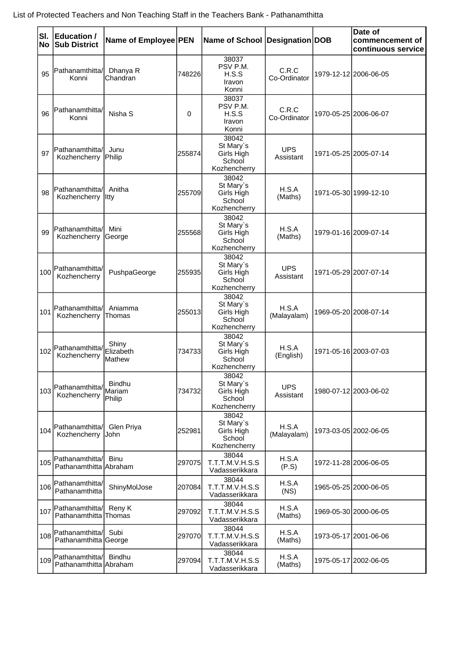| SI.<br><b>No</b> | <b>Education /</b><br><b>Sub District</b> | Name of Employee PEN              |        | Name of School Designation DOB                             |                         | Date of<br>commencement of<br>continuous service |
|------------------|-------------------------------------------|-----------------------------------|--------|------------------------------------------------------------|-------------------------|--------------------------------------------------|
| 95               | Pathanamthitta/<br>Konni                  | Dhanya R<br>Chandran              | 748226 | 38037<br>PSV P.M.<br>H.S.S<br>Iravon<br>Konni              | C.R.C<br>Co-Ordinator   | 1979-12-12 2006-06-05                            |
| 96               | Pathanamthitta/<br>Konni                  | Nisha S                           | 0      | 38037<br>PSV P.M.<br>H.S.S<br>Iravon<br>Konni              | C.R.C<br>Co-Ordinator   | 1970-05-25 2006-06-07                            |
| 97               | Pathanamthitta/<br>Kozhencherry           | Junu<br>Philip                    | 255874 | 38042<br>St Mary's<br>Girls High<br>School<br>Kozhencherry | <b>UPS</b><br>Assistant | 1971-05-25 2005-07-14                            |
| 98               | Pathanamthitta/<br>Kozhencherry           | Anitha<br>ltty                    | 255709 | 38042<br>St Mary's<br>Girls High<br>School<br>Kozhencherry | H.S.A<br>(Maths)        | 1971-05-30 1999-12-10                            |
| 99               | Pathanamthitta/<br>Kozhencherry           | Mini<br>George                    | 255568 | 38042<br>St Mary's<br>Girls High<br>School<br>Kozhencherry | H.S.A<br>(Maths)        | 1979-01-16 2009-07-14                            |
| 100              | Pathanamthitta/<br>Kozhencherry           | PushpaGeorge                      | 255935 | 38042<br>St Mary's<br>Girls High<br>School<br>Kozhencherry | <b>UPS</b><br>Assistant | 1971-05-29 2007-07-14                            |
| 101              | Pathanamthitta/<br>Kozhencherry           | Aniamma<br>Thomas                 | 255013 | 38042<br>St Mary's<br>Girls High<br>School<br>Kozhencherry | H.S.A<br>(Malayalam)    | 1969-05-20 2008-07-14                            |
| 102              | Pathanamthitta/<br>Kozhencherry           | Shiny<br>Elizabeth<br>Mathew      | 734733 | 38042<br>St Mary`s<br>Girls High<br>School<br>Kozhencherry | H.S.A<br>(English)      | 1971-05-16 2003-07-03                            |
| 103              | Pathanamthitta/<br>Kozhencherry           | <b>Bindhu</b><br>Mariam<br>Philip | 734732 | 38042<br>St Mary's<br>Girls High<br>School<br>Kozhencherry | <b>UPS</b><br>Assistant | 1980-07-12 2003-06-02                            |
| 104              | Pathanamthitta/<br>Kozhencherry           | Glen Priya<br>John                | 252981 | 38042<br>St Mary's<br>Girls High<br>School<br>Kozhencherry | H.S.A<br>(Malayalam)    | 1973-03-05 2002-06-05                            |
| 105              | Pathanamthitta/<br>Pathanamthitta         | <b>Binu</b><br>Abraham            | 297075 | 38044<br>T.T.T.M.V.H.S.S<br>Vadasserikkara                 | H.S.A<br>(P.S)          | 1972-11-28 2006-06-05                            |
| 106              | Pathanamthitta/<br>Pathanamthitta         | ShinyMolJose                      | 207084 | 38044<br>T.T.T.M.V.H.S.S<br>Vadasserikkara                 | H.S.A<br>(NS)           | 1965-05-25 2000-06-05                            |
| 107              | Pathanamthitta/<br>Pathanamthitta         | Reny K<br>Thomas                  | 297092 | 38044<br>T.T.T.M.V.H.S.S<br>Vadasserikkara                 | H.S.A<br>(Maths)        | 1969-05-30 2000-06-05                            |
| 108              | Pathanamthitta/<br>Pathanamthitta George  | Subi                              | 297070 | 38044<br>T.T.T.M.V.H.S.S<br>Vadasserikkara                 | H.S.A<br>(Maths)        | 1973-05-17 2001-06-06                            |
| 109              | Pathanamthitta/<br>Pathanamthitta Abraham | <b>Bindhu</b>                     | 297094 | 38044<br>T.T.T.M.V.H.S.S<br>Vadasserikkara                 | H.S.A<br>(Maths)        | 1975-05-17 2002-06-05                            |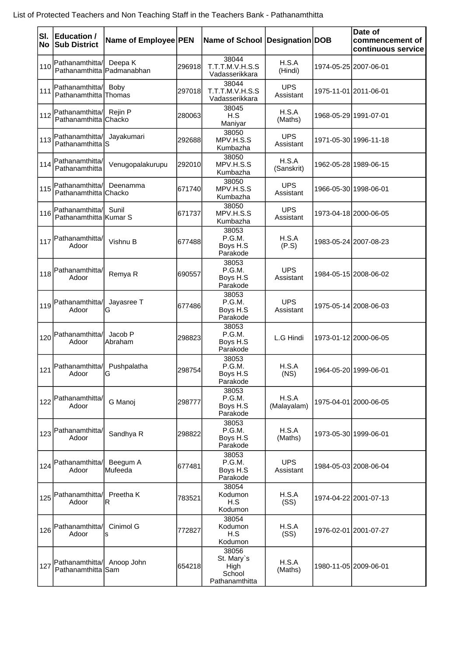| SI.<br><b>No</b> | <b>Education /</b><br><b>Sub District</b>     | Name of Employee PEN |        | Name of School Designation DOB                          |                         |                       | Date of<br>commencement of<br>continuous service |
|------------------|-----------------------------------------------|----------------------|--------|---------------------------------------------------------|-------------------------|-----------------------|--------------------------------------------------|
| 110              | Pathanamthitta/<br>Pathanamthitta Padmanabhan | Deepa K              | 296918 | 38044<br>T.T.T.M.V.H.S.S<br>Vadasserikkara              | H.S.A<br>(Hindi)        |                       | 1974-05-25 2007-06-01                            |
| 111              | Pathanamthitta/<br>Pathanamthitta Thomas      | Boby                 | 297018 | 38044<br>T.T.T.M.V.H.S.S<br>Vadasserikkara              | <b>UPS</b><br>Assistant | 1975-11-01 2011-06-01 |                                                  |
| 112              | Pathanamthitta/<br>Pathanamthitta Chacko      | Rejin P              | 280063 | 38045<br>H.S<br>Maniyar                                 | H.S.A<br>(Maths)        | 1968-05-29 1991-07-01 |                                                  |
| 113              | Pathanamthitta/<br>Pathanamthitta S           | Jayakumari           | 292688 | 38050<br>MPV.H.S.S<br>Kumbazha                          | <b>UPS</b><br>Assistant |                       | 1971-05-30 1996-11-18                            |
| 114              | Pathanamthitta/<br>Pathanamthitta             | Venugopalakurupu     | 292010 | 38050<br>MPV.H.S.S<br>Kumbazha                          | H.S.A<br>(Sanskrit)     |                       | 1962-05-28 1989-06-15                            |
| 115              | Pathanamthitta/<br>Pathanamthitta Chacko      | Deenamma             | 671740 | 38050<br>MPV.H.S.S<br>Kumbazha                          | <b>UPS</b><br>Assistant |                       | 1966-05-30 1998-06-01                            |
| 116              | Pathanamthitta/<br>Pathanamthitta Kumar S     | Sunil                | 671737 | 38050<br>MPV.H.S.S<br>Kumbazha                          | <b>UPS</b><br>Assistant |                       | 1973-04-18 2000-06-05                            |
| 117              | Pathanamthitta/<br>Adoor                      | Vishnu B             | 677488 | 38053<br>P.G.M.<br>Boys H.S<br>Parakode                 | H.S.A<br>(P.S)          |                       | 1983-05-24 2007-08-23                            |
| 118              | Pathanamthitta/<br>Adoor                      | Remya R              | 690557 | 38053<br>P.G.M.<br>Boys H.S<br>Parakode                 | <b>UPS</b><br>Assistant |                       | 1984-05-15 2008-06-02                            |
| 119              | Pathanamthitta/<br>Adoor                      | Jayasree T<br>G      | 677486 | 38053<br>P.G.M.<br>Boys H.S<br>Parakode                 | <b>UPS</b><br>Assistant |                       | 1975-05-14 2008-06-03                            |
| 120              | Pathanamthitta/<br>Adoor                      | Jacob P<br>Abraham   | 298823 | 38053<br>P.G.M.<br>Boys H.S<br>Parakode                 | L.G Hindi               |                       | 1973-01-12 2000-06-05                            |
|                  | 121 Pathanamthitta/<br>Adoor                  | Pushpalatha<br>G     | 298754 | 38053<br>P.G.M.<br>Boys H.S<br>Parakode                 | H.S.A<br>(NS)           | 1964-05-2011999-06-01 |                                                  |
| 122              | Pathanamthitta/<br>Adoor                      | G Manoj              | 298777 | 38053<br>P.G.M.<br>Boys H.S<br>Parakode                 | H.S.A<br>(Malayalam)    |                       | 1975-04-01 2000-06-05                            |
| 123              | Pathanamthitta/<br>Adoor                      | Sandhya R            | 298822 | 38053<br>P.G.M.<br>Boys H.S<br>Parakode                 | H.S.A<br>(Maths)        |                       | 1973-05-30 1999-06-01                            |
| 124              | Pathanamthitta/<br>Adoor                      | Beegum A<br>Mufeeda  | 677481 | 38053<br>P.G.M.<br>Boys H.S<br>Parakode                 | <b>UPS</b><br>Assistant |                       | 1984-05-03 2008-06-04                            |
| 125              | Pathanamthitta/<br>Adoor                      | Preetha K<br>R       | 783521 | 38054<br>Kodumon<br>H.S<br>Kodumon                      | H.S.A<br>(SS)           |                       | 1974-04-22 2001-07-13                            |
| 126              | Pathanamthitta/<br>Adoor                      | Cinimol G<br>S       | 772827 | 38054<br>Kodumon<br>H.S<br>Kodumon                      | H.S.A<br>(SS)           |                       | 1976-02-01 2001-07-27                            |
| 127              | Pathanamthitta/<br>Pathanamthitta Sam         | Anoop John           | 654218 | 38056<br>St. Mary's<br>High<br>School<br>Pathanamthitta | H.S.A<br>(Maths)        | 1980-11-05 2009-06-01 |                                                  |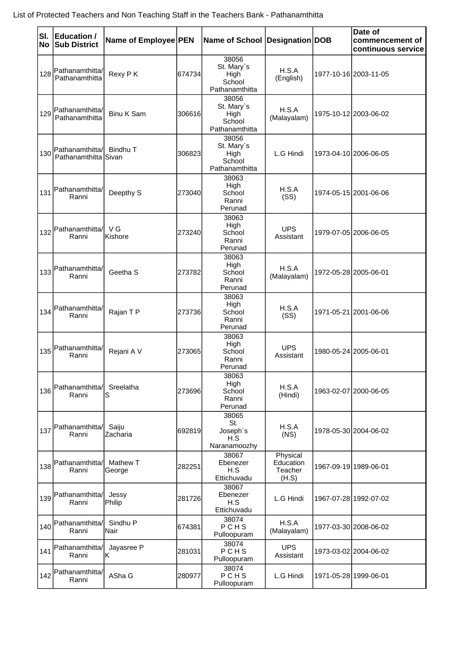| SI.<br><b>No</b> | <b>Education /</b><br><b>Sub District</b> | Name of Employee PEN |        | Name of School Designation DOB                          |                                           |                       | Date of<br>commencement of<br>continuous service |
|------------------|-------------------------------------------|----------------------|--------|---------------------------------------------------------|-------------------------------------------|-----------------------|--------------------------------------------------|
| 128              | Pathanamthitta/<br>Pathanamthitta         | Rexy P K             | 674734 | 38056<br>St. Mary's<br>High<br>School<br>Pathanamthitta | H.S.A<br>(English)                        |                       | 1977-10-16 2003-11-05                            |
| 129              | Pathanamthitta/<br>Pathanamthitta         | Binu K Sam           | 306616 | 38056<br>St. Mary`s<br>High<br>School<br>Pathanamthitta | H.S.A<br>(Malayalam)                      |                       | 1975-10-12 2003-06-02                            |
| 130              | Pathanamthitta/<br>Pathanamthitta Sivan   | Bindhu T             | 306823 | 38056<br>St. Mary`s<br>High<br>School<br>Pathanamthitta | L.G Hindi                                 |                       | 1973-04-10 2006-06-05                            |
| 131              | Pathanamthitta/<br>Ranni                  | Deepthy S            | 273040 | 38063<br>High<br>School<br>Ranni<br>Perunad             | H.S.A<br>(SS)                             |                       | 1974-05-15 2001-06-06                            |
| 132              | Pathanamthitta/<br>Ranni                  | V G<br>Kishore       | 273240 | 38063<br>High<br>School<br>Ranni<br>Perunad             | <b>UPS</b><br>Assistant                   |                       | 1979-07-05 2006-06-05                            |
| 133              | Pathanamthitta/<br>Ranni                  | Geetha S             | 273782 | 38063<br>High<br>School<br>Ranni<br>Perunad             | H.S.A<br>(Malayalam)                      | 1972-05-28 2005-06-01 |                                                  |
| 134              | Pathanamthitta/<br>Ranni                  | Rajan T P            | 273736 | 38063<br>High<br>School<br>Ranni<br>Perunad             | H.S.A<br>(SS)                             |                       | 1971-05-21 2001-06-06                            |
| 135              | Pathanamthitta/<br>Ranni                  | Rejani A V           | 273065 | 38063<br>High<br>School<br>Ranni<br>Perunad             | <b>UPS</b><br>Assistant                   | 1980-05-24 2005-06-01 |                                                  |
| 136              | Pathanamthitta/<br>Ranni                  | Sreelatha<br>S       | 273696 | 38063<br>High<br>School<br>Ranni<br>Perunad             | H.S.A<br>(Hindi)                          |                       | 1963-02-07 2000-06-05                            |
| 137              | Pathanamthitta/<br>Ranni                  | Saiju<br>Zacharia    | 692819 | 38065<br>St.<br>Joseph's<br>H.S<br>Naranamoozhy         | H.S.A<br>(NS)                             |                       | 1978-05-30 2004-06-02                            |
| 138              | Pathanamthitta/<br>Ranni                  | Mathew T<br>George   | 282251 | 38067<br>Ebenezer<br>H.S<br>Ettichuvadu                 | Physical<br>Education<br>Teacher<br>(H.S) |                       | 1967-09-19 1989-06-01                            |
| 139              | Pathanamthitta/<br>Ranni                  | Jessy<br>Philip      | 281726 | 38067<br>Ebenezer<br>H.S<br>Ettichuvadu                 | L.G Hindi                                 |                       | 1967-07-28 1992-07-02                            |
| 140              | Pathanamthitta/<br>Ranni                  | Sindhu P<br>Nair     | 674381 | 38074<br>PCHS<br>Pulloopuram                            | H.S.A<br>(Malayalam)                      |                       | 1977-03-30 2008-06-02                            |
| 141              | Pathanamthitta/<br>Ranni                  | Jayasree P<br>Κ      | 281031 | 38074<br>PCHS<br>Pulloopuram                            | <b>UPS</b><br>Assistant                   |                       | 1973-03-02 2004-06-02                            |
| 142              | Pathanamthitta/<br>Ranni                  | ASha G               | 280977 | 38074<br>PCHS<br>Pulloopuram                            | L.G Hindi                                 | 1971-05-28 1999-06-01 |                                                  |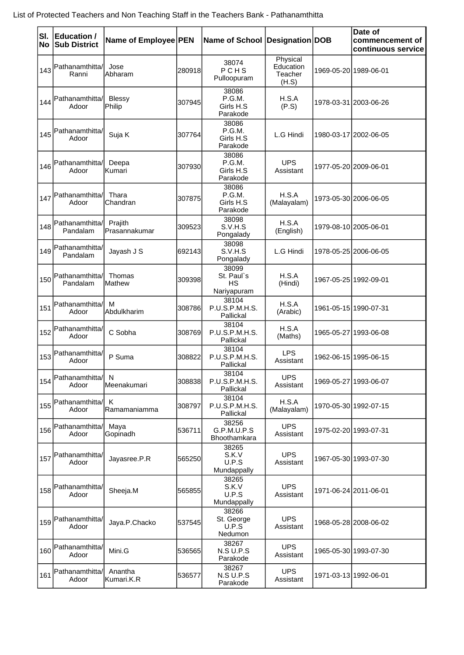| SI.<br>No | <b>Education /</b><br><b>Sub District</b> | Name of Employee PEN     |        | Name of School   Designation   DOB              |                                           | Date of<br>commencement of<br>continuous service |
|-----------|-------------------------------------------|--------------------------|--------|-------------------------------------------------|-------------------------------------------|--------------------------------------------------|
| 143       | Pathanamthitta/<br>Ranni                  | Jose<br>Abharam          | 280918 | 38074<br>PCHS<br>Pulloopuram                    | Physical<br>Education<br>Teacher<br>(H.S) | 1969-05-20 1989-06-01                            |
| 144       | Pathanamthitta/<br>Adoor                  | Blessy<br>Philip         | 307945 | 38086<br>P.G.M.<br>Girls H.S<br>Parakode        | H.S.A<br>(P.S)                            | 1978-03-31 2003-06-26                            |
| 145       | Pathanamthitta/<br>Adoor                  | Suja K                   | 307764 | 38086<br>P.G.M.<br>Girls H.S<br>Parakode        | L.G Hindi                                 | 1980-03-17 2002-06-05                            |
| 146       | Pathanamthitta/<br>Adoor                  | Deepa<br>Kumari          | 307930 | 38086<br>P.G.M.<br>Girls H.S<br>Parakode        | <b>UPS</b><br>Assistant                   | 1977-05-20 2009-06-01                            |
| 147       | Pathanamthitta/<br>Adoor                  | Thara<br>Chandran        | 307875 | 38086<br>P.G.M.<br>Girls H.S<br>Parakode        | H.S.A<br>(Malayalam)                      | 1973-05-30 2006-06-05                            |
| 148       | Pathanamthitta/<br>Pandalam               | Prajith<br>Prasannakumar | 309523 | 38098<br>S.V.H.S<br>Pongalady                   | H.S.A<br>(English)                        | 1979-08-10 2005-06-01                            |
| 149       | Pathanamthitta/<br>Pandalam               | Jayash J S               | 692143 | 38098<br>S.V.H.S<br>Pongalady                   | L.G Hindi                                 | 1978-05-25 2006-06-05                            |
| 150       | Pathanamthitta/<br>Pandalam               | Thomas<br>Mathew         | 309398 | 38099<br>St. Paul's<br><b>HS</b><br>Nariyapuram | H.S.A<br>(Hindi)                          | 1967-05-25 1992-09-01                            |
| 151       | Pathanamthitta/<br>Adoor                  | м<br>Abdulkharim         | 308786 | 38104<br>P.U.S.P.M.H.S.<br>Pallickal            | H.S.A<br>(Arabic)                         | 1961-05-15 1990-07-31                            |
| 152       | Pathanamthitta/<br>Adoor                  | C Sobha                  | 308769 | 38104<br>P.U.S.P.M.H.S.<br>Pallickal            | H.S.A<br>(Maths)                          | 1965-05-27 1993-06-08                            |
| 153       | Pathanamthitta/<br>Adoor                  | P Suma                   | 308822 | 38104<br>P.U.S.P.M.H.S.<br>Pallickal            | <b>LPS</b><br>Assistant                   | 1962-06-15 1995-06-15                            |
| 154       | Pathanamthitta/<br>Adoor                  | N<br>Meenakumari         | 308838 | 38104<br>P.U.S.P.M.H.S.<br>Pallickal            | <b>UPS</b><br>Assistant                   | 1969-05-27 1993-06-07                            |
| 155       | Pathanamthitta/<br>Adoor                  | K<br>Ramamaniamma        | 308797 | 38104<br>P.U.S.P.M.H.S.<br>Pallickal            | H.S.A<br>(Malayalam)                      | 1970-05-30 1992-07-15                            |
| 156       | Pathanamthitta/<br>Adoor                  | Maya<br>Gopinadh         | 536711 | 38256<br>G.P.M.U.P.S<br>Bhoothamkara            | <b>UPS</b><br>Assistant                   | 1975-02-2011993-07-31                            |
| 157       | Pathanamthitta/<br>Adoor                  | Jayasree.P.R             | 565250 | 38265<br>S.K.V<br>U.P.S<br>Mundappally          | <b>UPS</b><br>Assistant                   | 1967-05-30 1993-07-30                            |
| 158       | Pathanamthitta/<br>Adoor                  | Sheeja.M                 | 565855 | 38265<br>S.K.V<br>U.P.S<br>Mundappally          | <b>UPS</b><br>Assistant                   | 1971-06-24 2011-06-01                            |
| 159       | Pathanamthitta/<br>Adoor                  | Jaya.P.Chacko            | 537545 | 38266<br>St. George<br>U.P.S<br>Nedumon         | <b>UPS</b><br>Assistant                   | 1968-05-28 2008-06-02                            |
| 160       | Pathanamthitta/<br>Adoor                  | Mini.G                   | 536565 | 38267<br>N.S U.P.S<br>Parakode                  | <b>UPS</b><br>Assistant                   | 1965-05-30 1993-07-30                            |
| 161       | Pathanamthitta/<br>Adoor                  | Anantha<br>Kumari.K.R    | 536577 | 38267<br>N.S U.P.S<br>Parakode                  | <b>UPS</b><br>Assistant                   | 1971-03-13 1992-06-01                            |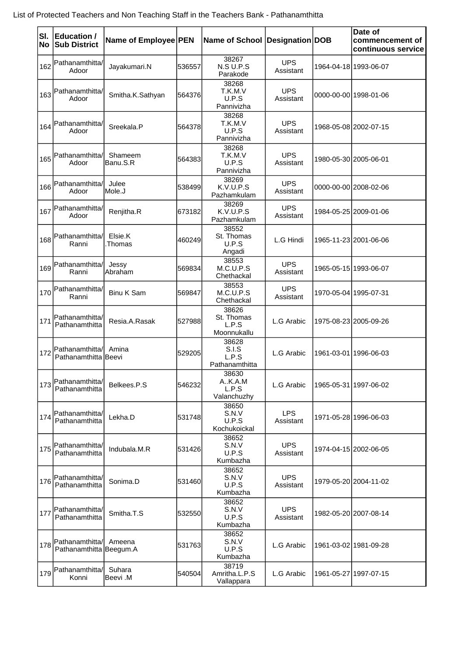| SI.<br>No | Education /<br><b>Sub District</b>         | Name of Employee PEN |        | Name of School Designation DOB              |                         | Date of<br>commencement of<br>continuous service |
|-----------|--------------------------------------------|----------------------|--------|---------------------------------------------|-------------------------|--------------------------------------------------|
| 162       | Pathanamthitta/<br>Adoor                   | Jayakumari.N         | 536557 | 38267<br>N.S U.P.S<br>Parakode              | <b>UPS</b><br>Assistant | 1964-04-18 1993-06-07                            |
| 163       | Pathanamthitta/<br>Adoor                   | Smitha.K.Sathyan     | 564376 | 38268<br>T.K.M.V<br>U.P.S<br>Pannivizha     | <b>UPS</b><br>Assistant | 0000-00-00 1998-01-06                            |
| 164       | Pathanamthitta/<br>Adoor                   | Sreekala.P           | 564378 | 38268<br>T.K.M.V<br>U.P.S<br>Pannivizha     | <b>UPS</b><br>Assistant | 1968-05-08 2002-07-15                            |
| 165       | Pathanamthitta/<br>Adoor                   | Shameem<br>Banu.S.R  | 564383 | 38268<br>T.K.M.V<br>U.P.S<br>Pannivizha     | <b>UPS</b><br>Assistant | 1980-05-30 2005-06-01                            |
| 166       | Pathanamthitta/<br>Adoor                   | Julee<br>Mole.J      | 538499 | 38269<br>K.V.U.P.S<br>Pazhamkulam           | <b>UPS</b><br>Assistant | 0000-00-00 2008-02-06                            |
| 167       | Pathanamthitta/<br>Adoor                   | Renjitha.R           | 673182 | 38269<br>K.V.U.P.S<br>Pazhamkulam           | <b>UPS</b><br>Assistant | 1984-05-25 2009-01-06                            |
| 168       | Pathanamthitta/<br>Ranni                   | Elsie.K<br>.Thomas   | 460249 | 38552<br>St. Thomas<br>U.P.S<br>Angadi      | L.G Hindi               | 1965-11-23 2001-06-06                            |
| 169       | Pathanamthitta/<br>Ranni                   | Jessy<br>Abraham     | 569834 | 38553<br>M.C.U.P.S<br>Chethackal            | <b>UPS</b><br>Assistant | 1965-05-15 1993-06-07                            |
| 170       | Pathanamthitta/<br>Ranni                   | <b>Binu K Sam</b>    | 569847 | 38553<br>M.C.U.P.S<br>Chethackal            | <b>UPS</b><br>Assistant | 1970-05-04 1995-07-31                            |
| 171       | Pathanamthitta/<br>Pathanamthitta          | Resia.A.Rasak        | 527988 | 38626<br>St. Thomas<br>L.P.S<br>Moonnukallu | L.G Arabic              | 1975-08-23 2005-09-26                            |
| 172       | Pathanamthitta/<br>Pathanamthitta Beevi    | Amina                | 529205 | 38628<br>S.I.S<br>L.P.S<br>Pathanamthitta   | L.G Arabic              | 1961-03-0111996-06-03                            |
| 173       | Pathanamthitta/<br>Pathanamthitta          | Belkees.P.S          | 546232 | 38630<br>AK.A.M<br>L.P.S<br>Valanchuzhy     | L.G Arabic              | 1965-05-31 1997-06-02                            |
| 174       | Pathanamthitta/<br>Pathanamthitta          | Lekha.D              | 531748 | 38650<br>S.N.V<br>U.P.S<br>Kochukoickal     | <b>LPS</b><br>Assistant | 1971-05-28 1996-06-03                            |
| 175       | Pathanamthitta/<br>Pathanamthitta          | Indubala.M.R         | 531426 | 38652<br>S.N.V<br>U.P.S<br>Kumbazha         | <b>UPS</b><br>Assistant | 1974-04-15 2002-06-05                            |
| 176       | Pathanamthitta/<br>Pathanamthitta          | Sonima.D             | 531460 | 38652<br>S.N.V<br>U.P.S<br>Kumbazha         | <b>UPS</b><br>Assistant | 1979-05-20 2004-11-02                            |
| 177       | Pathanamthitta/<br>Pathanamthitta          | Smitha.T.S           | 532550 | 38652<br>S.N.V<br>U.P.S<br>Kumbazha         | <b>UPS</b><br>Assistant | 1982-05-20 2007-08-14                            |
| 178       | Pathanamthitta/<br>Pathanamthitta Beegum.A | Ameena               | 531763 | 38652<br>S.N.V<br>U.P.S<br>Kumbazha         | L.G Arabic              | 1961-03-02 1981-09-28                            |
| 179       | Pathanamthitta/<br>Konni                   | Suhara<br>IBeevi .M  | 540504 | 38719<br>Amritha.L.P.S<br>Vallappara        | L.G Arabic              | 1961-05-27 1997-07-15                            |